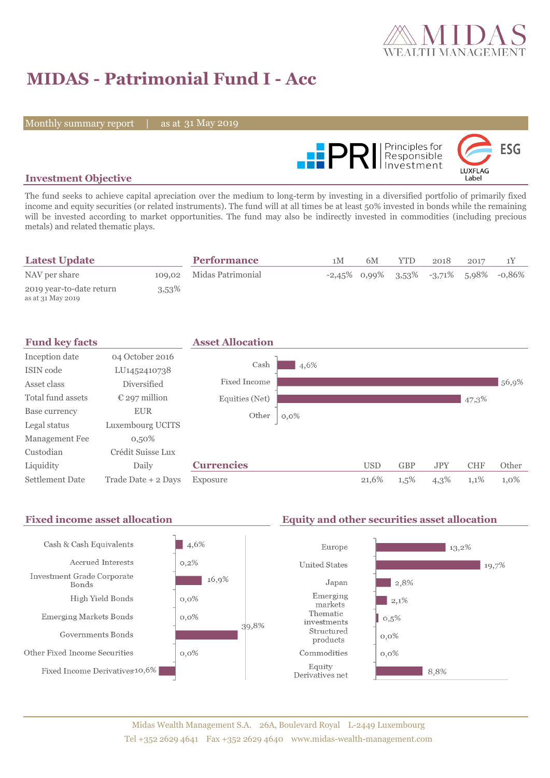

# **MIDAS - Patrimonial Fund I - Acc**

Monthly summary report | as at 31 May 2019



### **Investment Objective**

The fund seeks to achieve capital apreciation over the medium to long-term by investing in a diversified portfolio of primarily fixed income and equity securities (or related instruments). The fund will at all times be at least 50% invested in bonds while the remaining will be invested according to market opportunities. The fund may also be indirectly invested in commodities (including precious metals) and related thematic plays.

| <b>Latest Update</b>                          |          | <b>Performance</b>       | 1 M | 6M | YTD. | 2018 | 2017 |                                                    |
|-----------------------------------------------|----------|--------------------------|-----|----|------|------|------|----------------------------------------------------|
| NAV per share                                 |          | 109,02 Midas Patrimonial |     |    |      |      |      | $-2,45\%$ 0,99% $3,53\%$ $-3,71\%$ 5,98% $-0,86\%$ |
| 2019 year-to-date return<br>as at 31 May 2019 | $3,53\%$ |                          |     |    |      |      |      |                                                    |

| <b>Fund key facts</b>  |                        | <b>Asset Allocation</b> |         |            |            |            |            |       |
|------------------------|------------------------|-------------------------|---------|------------|------------|------------|------------|-------|
| Inception date         | 04 October 2016        |                         |         |            |            |            |            |       |
| ISIN code              | LU1452410738           | Cash                    | 4,6%    |            |            |            |            |       |
| Asset class            | <b>Diversified</b>     | Fixed Income            |         |            |            |            |            | 56,9% |
| Total fund assets      | $\epsilon$ 297 million | Equities (Net)          |         |            |            |            | 47,3%      |       |
| Base currency          | <b>EUR</b>             | Other                   | $0,0\%$ |            |            |            |            |       |
| Legal status           | Luxembourg UCITS       |                         |         |            |            |            |            |       |
| Management Fee         | $0,50\%$               |                         |         |            |            |            |            |       |
| Custodian              | Crédit Suisse Lux      |                         |         |            |            |            |            |       |
| Liquidity              | Daily                  | <b>Currencies</b>       |         | <b>USD</b> | <b>GBP</b> | <b>JPY</b> | <b>CHF</b> | Other |
| <b>Settlement Date</b> | Trade Date + 2 Days    | Exposure                |         | 21,6%      | $1,5\%$    | 4,3%       | 1,1%       | 1,0%  |

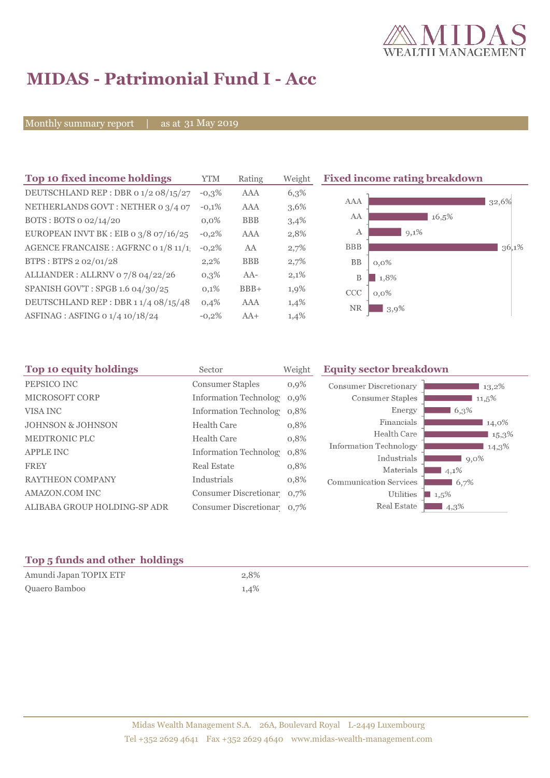

## **MIDAS - Patrimonial Fund I - Acc**

Monthly summary report | as at 31 May 2019

| Top 10 fixed income holdings            | <b>YTM</b> | Rating     | Weight | <b>Fixed income rating breakdown</b> |
|-----------------------------------------|------------|------------|--------|--------------------------------------|
| DEUTSCHLAND REP : DBR 0 1/2 08/15/27    | $-0,3\%$   | AAA        | 6,3%   |                                      |
| NETHERLANDS GOVT: NETHER 0 3/4 07       | $-0,1%$    | <b>AAA</b> | 3,6%   | <b>AAA</b><br>32,6%                  |
| BOTS: BOTS $o$ 02/14/20                 | $0.0\%$    | <b>BBB</b> | 3,4%   | AA<br>16,5%                          |
| EUROPEAN INVT BK : EIB o $3/8$ 07/16/25 | $-0,2%$    | AAA        | 2,8%   | А<br>9,1%                            |
| AGENCE FRANCAISE : AGFRNC 0 1/8 11/1    | $-0,2%$    | AA         | 2,7%   | <b>BBB</b><br>36,1%                  |
| BTPS: BTPS 2 02/01/28                   | 2,2%       | <b>BBB</b> | 2,7%   | <b>BB</b><br>$0,0\%$                 |
| ALLIANDER: ALLRNV 07/8 04/22/26         | 0,3%       | AA-        | 2,1%   | 1,8%<br>Β                            |
| SPANISH GOV'T: SPGB 1.6 04/30/25        | 0,1%       | $BBB+$     | 1,9%   | <b>CCC</b><br>$0,0\%$                |
| DEUTSCHLAND REP: DBR 11/4 08/15/48      | 0,4%       | AAA        | 1,4%   | <b>NR</b>                            |
| ASFINAG : ASFING 0 1/4 10/18/24         | $-0,2%$    | $AA+$      | 1,4%   | $3,9\%$                              |
|                                         |            |            |        |                                      |

| Top 10 equity holdings<br>Sector |                               | Weight  | <b>Equity sector breakdown</b>        |                     |  |
|----------------------------------|-------------------------------|---------|---------------------------------------|---------------------|--|
| PEPSICO INC                      | <b>Consumer Staples</b>       | $0,9\%$ | <b>Consumer Discretionary</b>         | 13,2%               |  |
| <b>MICROSOFT CORP</b>            | Information Technolog 0,9%    |         | Consumer Staples                      | $11,5\%$            |  |
| VISA INC                         | Information Technolog 0,8%    |         | Energy                                | 6.3%                |  |
| <b>JOHNSON &amp; JOHNSON</b>     | <b>Health Care</b>            | 0,8%    | Financials                            | 14,0%               |  |
| <b>MEDTRONIC PLC</b>             | <b>Health Care</b>            | 0,8%    | Health Care                           | $15,3\%$            |  |
| <b>APPLE INC</b>                 | <b>Information Technology</b> | 0,8%    | Information Technology<br>Industrials | 14,3%<br>$9,0\%$    |  |
| <b>FREY</b>                      | <b>Real Estate</b>            | 0,8%    | Materials                             | $14,1\%$            |  |
| <b>RAYTHEON COMPANY</b>          | Industrials                   | 0,8%    | <b>Communication Services</b>         | 6,7%                |  |
| AMAZON.COM INC                   | Consumer Discretionar 0,7%    |         | Utilities                             | $\blacksquare$ 1,5% |  |
| ALIBABA GROUP HOLDING-SP ADR     | Consumer Discretionar 0,7%    |         | Real Estate                           | 4,3%                |  |

### **Top 5 funds and other holdings**

| Amundi Japan TOPIX ETF | 2,8% |
|------------------------|------|
| Quaero Bamboo          | 1,4% |